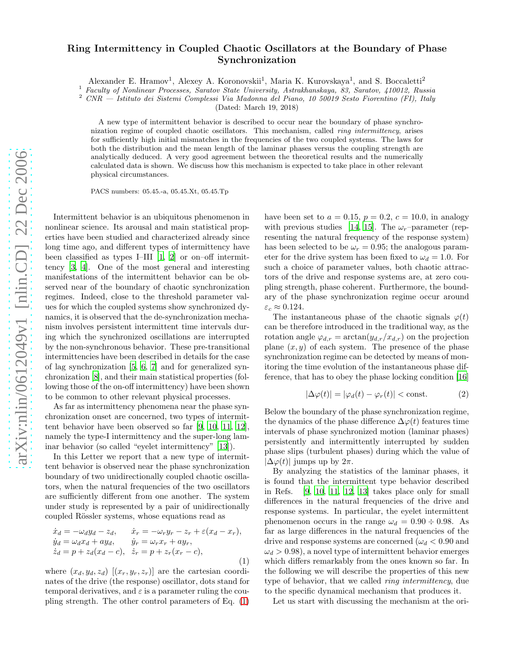## arXiv:nlin/0612049v1 [nlin.CD] 22 Dec 2006 [arXiv:nlin/0612049v1 \[nlin.CD\] 22 Dec 2006](http://arxiv.org/abs/nlin/0612049v1)

## Ring Intermittency in Coupled Chaotic Oscillators at the Boundary of Phase Synchronization

Alexander E. Hramov<sup>1</sup>, Alexey A. Koronovskii<sup>1</sup>, Maria K. Kurovskaya<sup>1</sup>, and S. Boccaletti<sup>2</sup>

<sup>1</sup> Faculty of Nonlinear Processes, Saratov State University, Astrakhanskaya, 83, Saratov, 410012, Russia

<sup>2</sup> CNR — Istituto dei Sistemi Complessi Via Madonna del Piano, 10 50019 Sesto Fiorentino (FI), Italy

(Dated: March 19, 2018)

A new type of intermittent behavior is described to occur near the boundary of phase synchronization regime of coupled chaotic oscillators. This mechanism, called *ring intermittency*, arises for sufficiently high initial mismatches in the frequencies of the two coupled systems. The laws for both the distribution and the mean length of the laminar phases versus the coupling strength are analytically deduced. A very good agreement between the theoretical results and the numerically calculated data is shown. We discuss how this mechanism is expected to take place in other relevant physical circumstances.

PACS numbers: 05.45.-a, 05.45.Xt, 05.45.Tp

Intermittent behavior is an ubiquitous phenomenon in nonlinear science. Its arousal and main statistical properties have been studied and characterized already since long time ago, and different types of intermittency have been classified as types I–III [\[1,](#page-3-0) [2\]](#page-3-1) or on–off intermittency [\[3,](#page-3-2) [4\]](#page-3-3). One of the most general and interesting manifestations of the intermittent behavior can be observed near of the boundary of chaotic synchronization regimes. Indeed, close to the threshold parameter values for which the coupled systems show synchronized dynamics, it is observed that the de-synchronization mechanism involves persistent intermittent time intervals during which the synchronized oscillations are interrupted by the non-synchronous behavior. These pre-transitional intermittencies have been described in details for the case of lag synchronization [\[5,](#page-3-4) [6](#page-3-5), [7](#page-3-6)] and for generalized synchronization [\[8\]](#page-3-7), and their main statistical properties (following those of the on-off intermittency) have been shown to be common to other relevant physical processes.

As far as intermittency phenomena near the phase synchronization onset are concerned, two types of intermittent behavior have been observed so far [\[9,](#page-4-0) [10,](#page-4-1) [11,](#page-4-2) [12\]](#page-4-3), namely the type-I intermittency and the super-long laminar behavior (so called "eyelet intermittency" [\[13\]](#page-4-4)).

In this Letter we report that a new type of intermittent behavior is observed near the phase synchronization boundary of two unidirectionally coupled chaotic oscillators, when the natural frequencies of the two oscillators are sufficiently different from one another. The system under study is represented by a pair of unidirectionally coupled Rössler systems, whose equations read as

<span id="page-0-0"></span>
$$
\begin{aligned}\n\dot{x}_d &= -\omega_d y_d - z_d, & \dot{x}_r &= -\omega_r y_r - z_r + \varepsilon (x_d - x_r), \\
\dot{y}_d &= \omega_d x_d + ay_d, & \dot{y}_r &= \omega_r x_r + ay_r, \\
\dot{z}_d &= p + z_d (x_d - c), & \dot{z}_r &= p + z_r (x_r - c),\n\end{aligned} \tag{1}
$$

where  $(x_d, y_d, z_d)$   $[(x_r, y_r, z_r)]$  are the cartesian coordinates of the drive (the response) oscillator, dots stand for temporal derivatives, and  $\varepsilon$  is a parameter ruling the coupling strength. The other control parameters of Eq. [\(1\)](#page-0-0) have been set to  $a = 0.15$ ,  $p = 0.2$ ,  $c = 10.0$ , in analogy with previous studies [\[14,](#page-4-5) [15](#page-4-6)]. The  $\omega_r$ -parameter (representing the natural frequency of the response system) has been selected to be  $\omega_r = 0.95$ ; the analogous parameter for the drive system has been fixed to  $\omega_d = 1.0$ . For such a choice of parameter values, both chaotic attractors of the drive and response systems are, at zero coupling strength, phase coherent. Furthermore, the boundary of the phase synchronization regime occur around  $\varepsilon_c \approx 0.124.$ 

The instantaneous phase of the chaotic signals  $\varphi(t)$ can be therefore introduced in the traditional way, as the rotation angle  $\varphi_{d,r} = \arctan(y_{d,r}/x_{d,r})$  on the projection plane  $(x, y)$  of each system. The presence of the phase synchronization regime can be detected by means of monitoring the time evolution of the instantaneous phase difference, that has to obey the phase locking condition [\[16](#page-4-7)]

$$
|\Delta \varphi(t)| = |\varphi_d(t) - \varphi_r(t)| < \text{const.}
$$
 (2)

Below the boundary of the phase synchronization regime, the dynamics of the phase difference  $\Delta\varphi(t)$  features time intervals of phase synchronized motion (laminar phases) persistently and intermittently interrupted by sudden phase slips (turbulent phases) during which the value of  $|\Delta\varphi(t)|$  jumps up by  $2\pi$ .

By analyzing the statistics of the laminar phases, it is found that the intermittent type behavior described in Refs. [\[9,](#page-4-0) [10](#page-4-1), [11](#page-4-2), [12,](#page-4-3) [13](#page-4-4)] takes place only for small differences in the natural frequencies of the drive and response systems. In particular, the eyelet intermittent phenomenon occurs in the range  $\omega_d = 0.90 \div 0.98$ . As far as large differences in the natural frequencies of the drive and response systems are concerned  $(\omega_d < 0.90$  and  $\omega_d > 0.98$ , a novel type of intermittent behavior emerges which differs remarkably from the ones known so far. In the following we will describe the properties of this new type of behavior, that we called ring intermittency, due to the specific dynamical mechanism that produces it.

Let us start with discussing the mechanism at the ori-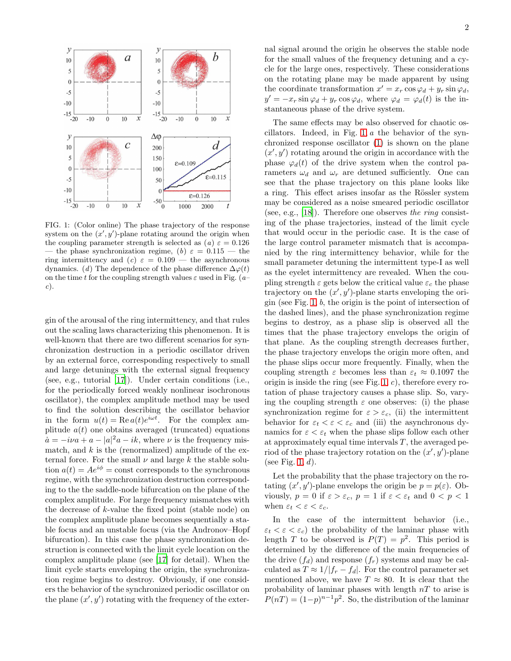

<span id="page-1-0"></span>FIG. 1: (Color online) The phase trajectory of the response system on the  $(x', y')$ -plane rotating around the origin when the coupling parameter strength is selected as (a)  $\varepsilon = 0.126$ - the phase synchronization regime, (b)  $\varepsilon = 0.115$  — the ring intermittency and (c)  $\varepsilon = 0.109$  — the asynchronous dynamics. (d) The dependence of the phase difference  $\Delta\varphi(t)$ on the time t for the coupling strength values  $\varepsilon$  used in Fig. (a– c).

gin of the arousal of the ring intermittency, and that rules out the scaling laws characterizing this phenomenon. It is well-known that there are two different scenarios for synchronization destruction in a periodic oscillator driven by an external force, corresponding respectively to small and large detunings with the external signal frequency (see, e.g., tutorial [\[17\]](#page-4-8)). Under certain conditions (i.e., for the periodically forced weakly nonlinear isochronous oscillator), the complex amplitude method may be used to find the solution describing the oscillator behavior in the form  $u(t) = \text{Re } a(t)e^{i\omega t}$ . For the complex amplitude  $a(t)$  one obtains averaged (truncated) equations  $\dot{a} = -i\nu a + a - |a|^2 a - ik$ , where  $\nu$  is the frequency mismatch, and  $k$  is the (renormalized) amplitude of the external force. For the small  $\nu$  and large k the stable solution  $a(t) = Ae^{i\phi}$  = const corresponds to the synchronous regime, with the synchronization destruction corresponding to the the saddle-node bifurcation on the plane of the complex amplitude. For large frequency mismatches with the decrease of  $k$ -value the fixed point (stable node) on the complex amplitude plane becomes sequentially a stable focus and an unstable focus (via the Andronov–Hopf bifurcation). In this case the phase synchronization destruction is connected with the limit cycle location on the complex amplitude plane (see [\[17](#page-4-8)] for detail). When the limit cycle starts enveloping the origin, the synchronization regime begins to destroy. Obviously, if one considers the behavior of the synchronized periodic oscillator on the plane  $(x', y')$  rotating with the frequency of the external signal around the origin he observes the stable node for the small values of the frequency detuning and a cycle for the large ones, respectively. These considerations on the rotating plane may be made apparent by using the coordinate transformation  $x' = x_r \cos \varphi_d + y_r \sin \varphi_d$ ,  $y' = -x_r \sin \varphi_d + y_r \cos \varphi_d$ , where  $\varphi_d = \varphi_d(t)$  is the instantaneous phase of the drive system.

The same effects may be also observed for chaotic oscillators. Indeed, in Fig. [1,](#page-1-0) a the behavior of the synchronized response oscillator [\(1\)](#page-0-0) is shown on the plane  $(x', y')$  rotating around the origin in accordance with the phase  $\varphi_d(t)$  of the drive system when the control parameters  $\omega_d$  and  $\omega_r$  are detuned sufficiently. One can see that the phase trajectory on this plane looks like a ring. This effect arises insofar as the Rössler system may be considered as a noise smeared periodic oscillator (see, e.g., [\[18\]](#page-4-9)). Therefore one observes the ring consisting of the phase trajectories, instead of the limit cycle that would occur in the periodic case. It is the case of the large control parameter mismatch that is accompanied by the ring intermittency behavior, while for the small parameter detuning the intermittent type-I as well as the eyelet intermittency are revealed. When the coupling strength  $\varepsilon$  gets below the critical value  $\varepsilon_c$  the phase trajectory on the  $(x', y')$ -plane starts enveloping the origin (see Fig.  $1, b$ , the origin is the point of intersection of the dashed lines), and the phase synchronization regime begins to destroy, as a phase slip is observed all the times that the phase trajectory envelops the origin of that plane. As the coupling strength decreases further, the phase trajectory envelops the origin more often, and the phase slips occur more frequently. Finally, when the coupling strength  $\varepsilon$  becomes less than  $\varepsilon_t \approx 0.1097$  the origin is inside the ring (see Fig. [1,](#page-1-0)  $c$ ), therefore every rotation of phase trajectory causes a phase slip. So, varying the coupling strength  $\varepsilon$  one observes: (i) the phase synchronization regime for  $\varepsilon > \varepsilon_c$ , (ii) the intermittent behavior for  $\varepsilon_t < \varepsilon < \varepsilon_c$  and (iii) the asynchronous dynamics for  $\varepsilon < \varepsilon_t$  when the phase slips follow each other at approximately equal time intervals  $T$ , the averaged period of the phase trajectory rotation on the  $(x', y')$ -plane (see Fig. [1,](#page-1-0)  $d$ ).

Let the probability that the phase trajectory on the rotating  $(x', y')$ -plane envelops the origin be  $p = p(\varepsilon)$ . Obviously,  $p = 0$  if  $\varepsilon > \varepsilon_c$ ,  $p = 1$  if  $\varepsilon < \varepsilon_t$  and  $0 < p < 1$ when  $\varepsilon_t < \varepsilon < \varepsilon_c$ .

In the case of the intermittent behavior (i.e.,  $\varepsilon_t < \varepsilon < \varepsilon_c$ ) the probability of the laminar phase with length T to be observed is  $P(T) = p^2$ . This period is determined by the difference of the main frequencies of the drive  $(f_d)$  and response  $(f_r)$  systems and may be calculated as  $T \approx 1/|f_r - f_d|$ . For the control parameter set mentioned above, we have  $T \approx 80$ . It is clear that the probability of laminar phases with length  $nT$  to arise is  $P(nT) = (1-p)^{n-1}p^2$ . So, the distribution of the laminar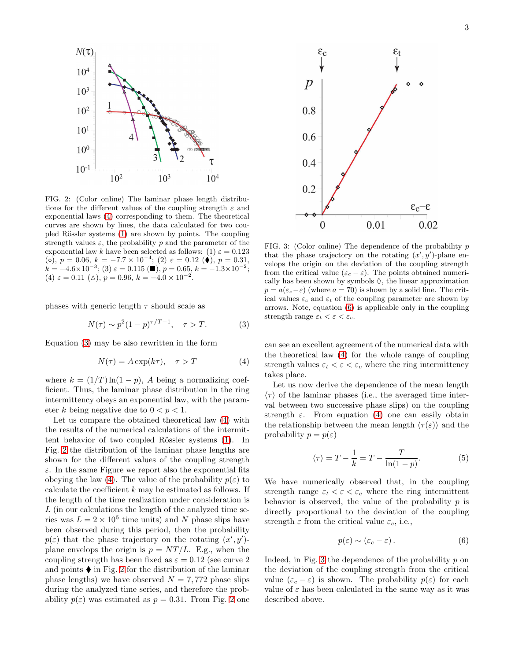

<span id="page-2-2"></span>FIG. 2: (Color online) The laminar phase length distributions for the different values of the coupling strength  $\varepsilon$  and exponential laws [\(4\)](#page-2-0) corresponding to them. The theoretical curves are shown by lines, the data calculated for two cou-pled Rössler systems [\(1\)](#page-0-0) are shown by points. The coupling strength values  $\varepsilon$ , the probability p and the parameter of the exponential law k have been selected as follows: (1)  $\varepsilon = 0.123$ (○),  $p = 0.06$ ,  $k = -7.7 \times 10^{-4}$ ; (2)  $\varepsilon = 0.12$  (◆),  $p = 0.31$ ,  $k = -4.6 \times 10^{-3}$ ; (3)  $\varepsilon = 0.115$  (■),  $p = 0.65$ ,  $k = -1.3 \times 10^{-2}$ ; (4)  $\varepsilon = 0.11 \; (\triangle)$ ,  $p = 0.96$ ,  $k = -4.0 \times 10^{-2}$ .

phases with generic length  $\tau$  should scale as

<span id="page-2-1"></span>
$$
N(\tau) \sim p^2 (1 - p)^{\tau/T - 1}, \quad \tau > T. \tag{3}
$$

Equation [\(3\)](#page-2-1) may be also rewritten in the form

<span id="page-2-0"></span>
$$
N(\tau) = A \exp(k\tau), \quad \tau > T \tag{4}
$$

where  $k = (1/T) \ln(1-p)$ , A being a normalizing coefficient. Thus, the laminar phase distribution in the ring intermittency obeys an exponential law, with the parameter k being negative due to  $0 < p < 1$ .

Let us compare the obtained theoretical law [\(4\)](#page-2-0) with the results of the numerical calculations of the intermit-tent behavior of two coupled Rössler systems [\(1\)](#page-0-0). In Fig. [2](#page-2-2) the distribution of the laminar phase lengths are shown for the different values of the coupling strength  $\varepsilon$ . In the same Figure we report also the exponential fits obeying the law [\(4\)](#page-2-0). The value of the probability  $p(\varepsilon)$  to calculate the coefficient  $k$  may be estimated as follows. If the length of the time realization under consideration is L (in our calculations the length of the analyzed time series was  $L = 2 \times 10^6$  time units) and N phase slips have been observed during this period, then the probability  $p(\varepsilon)$  that the phase trajectory on the rotating  $(x', y')$ plane envelops the origin is  $p = NT/L$ . E.g., when the coupling strength has been fixed as  $\varepsilon = 0.12$  (see curve 2) and points  $\blacklozenge$  in Fig. [2](#page-2-2) for the distribution of the laminar phase lengths) we have observed  $N = 7,772$  phase slips during the analyzed time series, and therefore the probability  $p(\varepsilon)$  was estimated as  $p = 0.31$ . From Fig. [2](#page-2-2) one



<span id="page-2-4"></span>FIG. 3: (Color online) The dependence of the probability  $p$ that the phase trajectory on the rotating  $(x', y')$ -plane envelops the origin on the deviation of the coupling strength from the critical value ( $\varepsilon_c - \varepsilon$ ). The points obtained numerically has been shown by symbols  $\Diamond$ , the linear approximation  $p = a(\varepsilon_c - \varepsilon)$  (where  $a = 70$ ) is shown by a solid line. The critical values  $\varepsilon_c$  and  $\varepsilon_t$  of the coupling parameter are shown by arrows. Note, equation [\(6\)](#page-2-3) is applicable only in the coupling strength range  $\varepsilon_t < \varepsilon < \varepsilon_c$ .

can see an excellent agreement of the numerical data with the theoretical law [\(4\)](#page-2-0) for the whole range of coupling strength values  $\varepsilon_t < \varepsilon < \varepsilon_c$  where the ring intermittency takes place.

Let us now derive the dependence of the mean length  $\langle \tau \rangle$  of the laminar phases (i.e., the averaged time interval between two successive phase slips) on the coupling strength  $\varepsilon$ . From equation [\(4\)](#page-2-0) one can easily obtain the relationship between the mean length  $\langle \tau(\varepsilon) \rangle$  and the probability  $p = p(\varepsilon)$ 

<span id="page-2-5"></span>
$$
\langle \tau \rangle = T - \frac{1}{k} = T - \frac{T}{\ln(1 - p)}.
$$
 (5)

We have numerically observed that, in the coupling strength range  $\varepsilon_t < \varepsilon < \varepsilon_c$  where the ring intermittent behavior is observed, the value of the probability  $p$  is directly proportional to the deviation of the coupling strength  $\varepsilon$  from the critical value  $\varepsilon_c$ , i.e.,

<span id="page-2-3"></span>
$$
p(\varepsilon) \sim (\varepsilon_c - \varepsilon). \tag{6}
$$

Indeed, in Fig. [3](#page-2-4) the dependence of the probability  $p$  on the deviation of the coupling strength from the critical value  $(\varepsilon_c - \varepsilon)$  is shown. The probability  $p(\varepsilon)$  for each value of  $\varepsilon$  has been calculated in the same way as it was described above.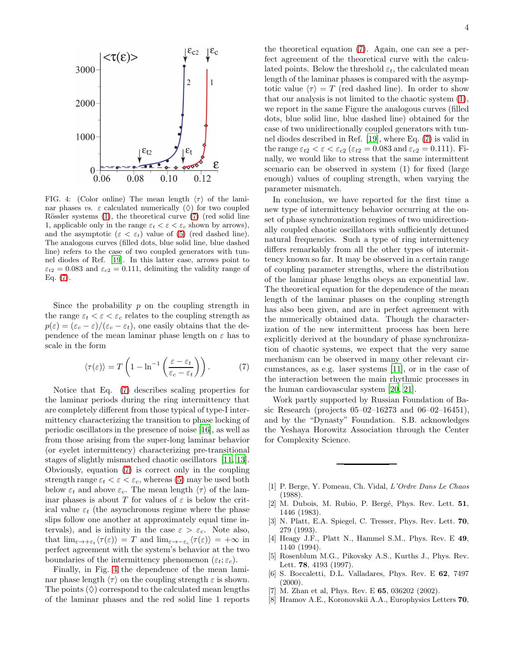

<span id="page-3-9"></span>FIG. 4: (Color online) The mean length  $\langle \tau \rangle$  of the laminar phases vs.  $\varepsilon$  calculated numerically  $(\Diamond)$  for two coupled Rössler systems  $(1)$ , the theoretical curve  $(7)$  (red solid line 1, applicable only in the range  $\varepsilon_t < \varepsilon < \varepsilon_c$  shown by arrows), and the asymptotic  $(\varepsilon < \varepsilon_t)$  value of [\(5\)](#page-2-5) (red dashed line). The analogous curves (filled dots, blue solid line, blue dashed line) refers to the case of two coupled generators with tunnel diodes of Ref. [\[19](#page-4-10)]. In this latter case, arrows point to  $\varepsilon_{t2} = 0.083$  and  $\varepsilon_{c2} = 0.111$ , delimiting the validity range of Eq. [\(7\)](#page-3-8).

Since the probability  $p$  on the coupling strength in the range  $\varepsilon_t < \varepsilon < \varepsilon_c$  relates to the coupling strength as  $p(\varepsilon) = (\varepsilon_c - \varepsilon)/(\varepsilon_c - \varepsilon_t)$ , one easily obtains that the dependence of the mean laminar phase length on  $\varepsilon$  has to scale in the form

<span id="page-3-8"></span>
$$
\langle \tau(\varepsilon) \rangle = T \left( 1 - \ln^{-1} \left( \frac{\varepsilon - \varepsilon_t}{\varepsilon_c - \varepsilon_t} \right) \right). \tag{7}
$$

Notice that Eq. [\(7\)](#page-3-8) describes scaling properties for the laminar periods during the ring intermittency that are completely different from those typical of type-I intermittency characterizing the transition to phase locking of periodic oscillators in the presence of noise [\[16](#page-4-7)], as well as from those arising from the super-long laminar behavior (or eyelet intermittency) characterizing pre-transitional stages of slightly mismatched chaotic oscillators [\[11,](#page-4-2) [13\]](#page-4-4). Obviously, equation [\(7\)](#page-3-8) is correct only in the coupling strength range  $\varepsilon_t < \varepsilon < \varepsilon_c$ , whereas [\(5\)](#page-2-5) may be used both below  $\varepsilon_t$  and above  $\varepsilon_c$ . The mean length  $\langle \tau \rangle$  of the laminar phases is about T for values of  $\varepsilon$  is below the critical value  $\varepsilon_t$  (the asynchronous regime where the phase slips follow one another at approximately equal time intervals), and is infinity in the case  $\varepsilon > \varepsilon_c$ . Note also, that  $\lim_{\varepsilon \to +\varepsilon_t} \langle \tau(\varepsilon) \rangle = T$  and  $\lim_{\varepsilon \to -\varepsilon_c} \langle \tau(\varepsilon) \rangle = +\infty$  in perfect agreement with the system's behavior at the two boundaries of the intermittency phenomenon  $(\varepsilon_t; \varepsilon_c)$ .

Finally, in Fig. [4](#page-3-9) the dependence of the mean laminar phase length  $\langle \tau \rangle$  on the coupling strength  $\varepsilon$  is shown. The points  $(\Diamond)$  correspond to the calculated mean lengths of the laminar phases and the red solid line 1 reports the theoretical equation [\(7\)](#page-3-8). Again, one can see a per-

4

fect agreement of the theoretical curve with the calculated points. Below the threshold  $\varepsilon_t$ , the calculated mean length of the laminar phases is compared with the asymptotic value  $\langle \tau \rangle = T$  (red dashed line). In order to show that our analysis is not limited to the chaotic system [\(1\)](#page-0-0), we report in the same Figure the analogous curves (filled dots, blue solid line, blue dashed line) obtained for the case of two unidirectionally coupled generators with tunnel diodes described in Ref. [\[19\]](#page-4-10), where Eq. [\(7\)](#page-3-8) is valid in the range  $\varepsilon_{t2} < \varepsilon < \varepsilon_{c2}$  ( $\varepsilon_{t2} = 0.083$  and  $\varepsilon_{c2} = 0.111$ ). Finally, we would like to stress that the same intermittent scenario can be observed in system (1) for fixed (large enough) values of coupling strength, when varying the parameter mismatch.

In conclusion, we have reported for the first time a new type of intermittency behavior occurring at the onset of phase synchronization regimes of two unidirectionally coupled chaotic oscillators with sufficiently detuned natural frequencies. Such a type of ring intermittency differs remarkably from all the other types of intermittency known so far. It may be observed in a certain range of coupling parameter strengths, where the distribution of the laminar phase lengths obeys an exponential law. The theoretical equation for the dependence of the mean length of the laminar phases on the coupling strength has also been given, and are in perfect agreement with the numerically obtained data. Though the characterization of the new intermittent process has been here explicitly derived at the boundary of phase synchronization of chaotic systems, we expect that the very same mechanism can be observed in many other relevant circumstances, as e.g. laser systems [\[11\]](#page-4-2), or in the case of the interaction between the main rhythmic processes in the human cardiovascular system [\[20,](#page-4-11) [21\]](#page-4-12).

Work partly supported by Russian Foundation of Basic Research (projects  $05-02-16273$  and  $06-02-16451$ ), and by the "Dynasty" Foundation. S.B. acknowledges the Yeshaya Horowitz Association through the Center for Complexity Science.

- <span id="page-3-0"></span>[1] P. Berge, Y. Pomeau, Ch. Vidal, L'Ordre Dans Le Chaos (1988).
- <span id="page-3-1"></span>[2] M. Dubois, M. Rubio, P. Bergé, Phys. Rev. Lett. 51, 1446 (1983).
- <span id="page-3-2"></span>[3] N. Platt, E.A. Spiegel, C. Tresser, Phys. Rev. Lett. 70, 279 (1993).
- <span id="page-3-3"></span>[4] Heagy J.F., Platt N., Hammel S.M., Phys. Rev. E 49. 1140 (1994).
- <span id="page-3-4"></span>[5] Rosenblum M.G., Pikovsky A.S., Kurths J., Phys. Rev. Lett. 78, 4193 (1997).
- <span id="page-3-5"></span>[6] S. Boccaletti, D.L. Valladares, Phys. Rev. E 62, 7497  $(2000).$
- <span id="page-3-6"></span>[7] M. Zhan et al, Phys. Rev. E **65**, 036202 (2002).
- <span id="page-3-7"></span>[8] Hramov A.E., Koronovskii A.A., Europhysics Letters 70,